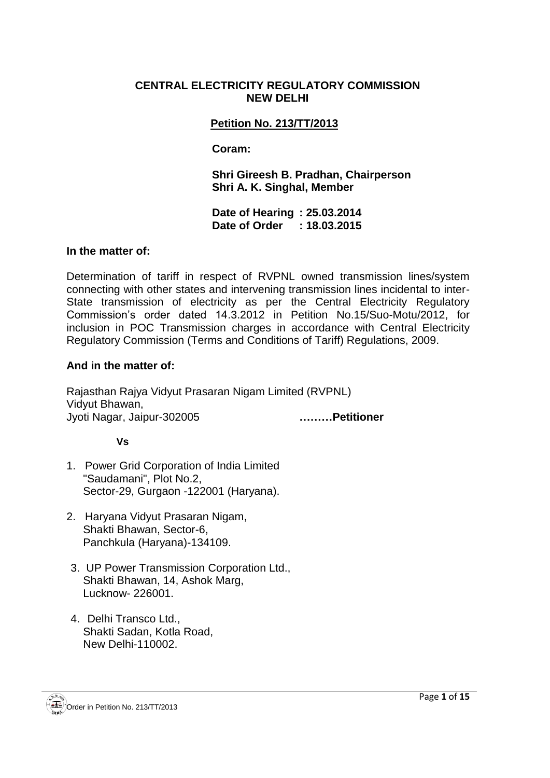#### **CENTRAL ELECTRICITY REGULATORY COMMISSION NEW DELHI**

## **Petition No. 213/TT/2013**

#### **Coram:**

**Shri Gireesh B. Pradhan, Chairperson Shri A. K. Singhal, Member**

**Date of Hearing : 25.03.2014 Date of Order : 18.03.2015**

#### **In the matter of:**

Determination of tariff in respect of RVPNL owned transmission lines/system connecting with other states and intervening transmission lines incidental to inter-State transmission of electricity as per the Central Electricity Regulatory Commission's order dated 14.3.2012 in Petition No.15/Suo-Motu/2012, for inclusion in POC Transmission charges in accordance with Central Electricity Regulatory Commission (Terms and Conditions of Tariff) Regulations, 2009.

#### **And in the matter of:**

Rajasthan Rajya Vidyut Prasaran Nigam Limited (RVPNL) Vidyut Bhawan, Jyoti Nagar, Jaipur-302005 **………Petitioner**

#### **Vs**

- 1. Power Grid Corporation of India Limited "Saudamani", Plot No.2, Sector-29, Gurgaon -122001 (Haryana).
- 2. Haryana Vidyut Prasaran Nigam, Shakti Bhawan, Sector-6, Panchkula (Haryana)-134109.
- 3. UP Power Transmission Corporation Ltd., Shakti Bhawan, 14, Ashok Marg, Lucknow- 226001.
- 4. Delhi Transco Ltd., Shakti Sadan, Kotla Road, New Delhi-110002.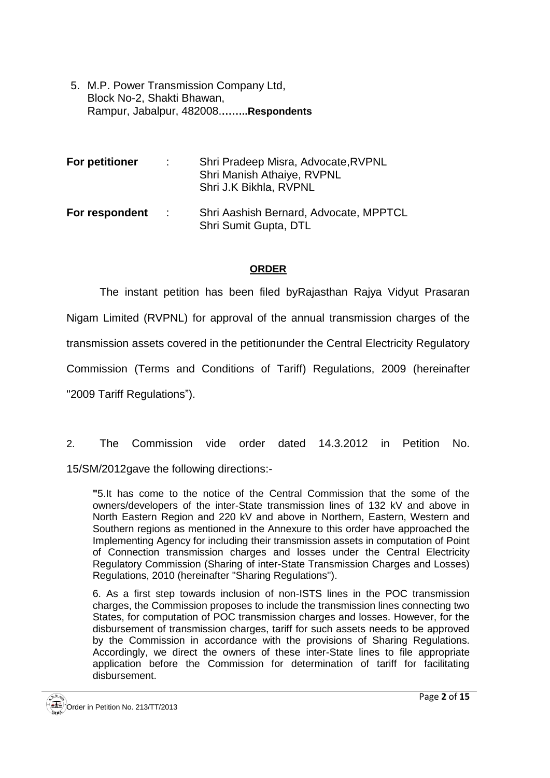5. M.P. Power Transmission Company Ltd, Block No-2, Shakti Bhawan, Rampur, Jabalpur, 482008.**……..Respondents**

| <b>For petitioner</b> | ÷.             | Shri Pradeep Misra, Advocate, RVPNL<br>Shri Manish Athaiye, RVPNL<br>Shri J.K Bikhla, RVPNL |
|-----------------------|----------------|---------------------------------------------------------------------------------------------|
| For respondent        | $\mathbb{R}^n$ | Shri Aashish Bernard, Advocate, MPPTCL<br>Shri Sumit Gupta, DTL                             |

#### **ORDER**

The instant petition has been filed byRajasthan Rajya Vidyut Prasaran Nigam Limited (RVPNL) for approval of the annual transmission charges of the transmission assets covered in the petitionunder the Central Electricity Regulatory Commission (Terms and Conditions of Tariff) Regulations, 2009 (hereinafter "2009 Tariff Regulations").

2. The Commission vide order dated 14.3.2012 in Petition No. 15/SM/2012gave the following directions:-

**"**5.It has come to the notice of the Central Commission that the some of the owners/developers of the inter-State transmission lines of 132 kV and above in North Eastern Region and 220 kV and above in Northern, Eastern, Western and Southern regions as mentioned in the Annexure to this order have approached the Implementing Agency for including their transmission assets in computation of Point of Connection transmission charges and losses under the Central Electricity Regulatory Commission (Sharing of inter-State Transmission Charges and Losses) Regulations, 2010 (hereinafter "Sharing Regulations'').

6. As a first step towards inclusion of non-ISTS lines in the POC transmission charges, the Commission proposes to include the transmission lines connecting two States, for computation of POC transmission charges and losses. However, for the disbursement of transmission charges, tariff for such assets needs to be approved by the Commission in accordance with the provisions of Sharing Regulations. Accordingly, we direct the owners of these inter-State lines to file appropriate application before the Commission for determination of tariff for facilitating disbursement.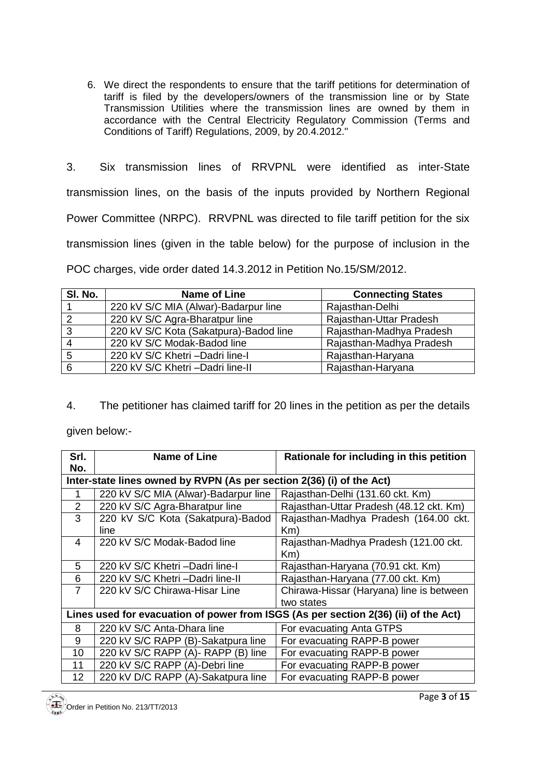- 6. We direct the respondents to ensure that the tariff petitions for determination of tariff is filed by the developers/owners of the transmission line or by State Transmission Utilities where the transmission lines are owned by them in accordance with the Central Electricity Regulatory Commission (Terms and Conditions of Tariff) Regulations, 2009, by 20.4.2012."
- 3. Six transmission lines of RRVPNL were identified as inter-State transmission lines, on the basis of the inputs provided by Northern Regional Power Committee (NRPC). RRVPNL was directed to file tariff petition for the six transmission lines (given in the table below) for the purpose of inclusion in the POC charges, vide order dated 14.3.2012 in Petition No.15/SM/2012.

| SI. No. | Name of Line                           | <b>Connecting States</b> |
|---------|----------------------------------------|--------------------------|
|         | 220 kV S/C MIA (Alwar)-Badarpur line   | Rajasthan-Delhi          |
| -2      | 220 kV S/C Agra-Bharatpur line         | Rajasthan-Uttar Pradesh  |
| 3       | 220 kV S/C Kota (Sakatpura)-Badod line | Rajasthan-Madhya Pradesh |
| 4       | 220 kV S/C Modak-Badod line            | Rajasthan-Madhya Pradesh |
| -5      | 220 kV S/C Khetri - Dadri line-I       | Rajasthan-Haryana        |
| 6       | 220 kV S/C Khetri - Dadri line-II      | Rajasthan-Haryana        |

4. The petitioner has claimed tariff for 20 lines in the petition as per the details

given below:-

| Srl.<br>No.                                                           | <b>Name of Line</b>                  | Rationale for including in this petition                                            |  |  |
|-----------------------------------------------------------------------|--------------------------------------|-------------------------------------------------------------------------------------|--|--|
| Inter-state lines owned by RVPN (As per section 2(36) (i) of the Act) |                                      |                                                                                     |  |  |
|                                                                       | 220 kV S/C MIA (Alwar)-Badarpur line | Rajasthan-Delhi (131.60 ckt. Km)                                                    |  |  |
| 2                                                                     | 220 kV S/C Agra-Bharatpur line       | Rajasthan-Uttar Pradesh (48.12 ckt. Km)                                             |  |  |
| 3                                                                     | 220 kV S/C Kota (Sakatpura)-Badod    | Rajasthan-Madhya Pradesh (164.00 ckt.                                               |  |  |
|                                                                       | line                                 | Km)                                                                                 |  |  |
| 4                                                                     | 220 kV S/C Modak-Badod line          | Rajasthan-Madhya Pradesh (121.00 ckt.                                               |  |  |
|                                                                       |                                      | Km)                                                                                 |  |  |
| 5                                                                     | 220 kV S/C Khetri - Dadri line-I     | Rajasthan-Haryana (70.91 ckt. Km)                                                   |  |  |
| 6                                                                     | 220 kV S/C Khetri-Dadri line-II      | Rajasthan-Haryana (77.00 ckt. Km)                                                   |  |  |
| 7                                                                     | 220 kV S/C Chirawa-Hisar Line        | Chirawa-Hissar (Haryana) line is between                                            |  |  |
|                                                                       |                                      | two states                                                                          |  |  |
|                                                                       |                                      | Lines used for evacuation of power from ISGS (As per section 2(36) (ii) of the Act) |  |  |
| 8                                                                     | 220 kV S/C Anta-Dhara line           | For evacuating Anta GTPS                                                            |  |  |
| 9                                                                     | 220 kV S/C RAPP (B)-Sakatpura line   | For evacuating RAPP-B power                                                         |  |  |
| 10                                                                    | 220 kV S/C RAPP (A)- RAPP (B) line   | For evacuating RAPP-B power                                                         |  |  |
| 11                                                                    | 220 kV S/C RAPP (A)-Debri line       | For evacuating RAPP-B power                                                         |  |  |
| 12                                                                    | 220 kV D/C RAPP (A)-Sakatpura line   | For evacuating RAPP-B power                                                         |  |  |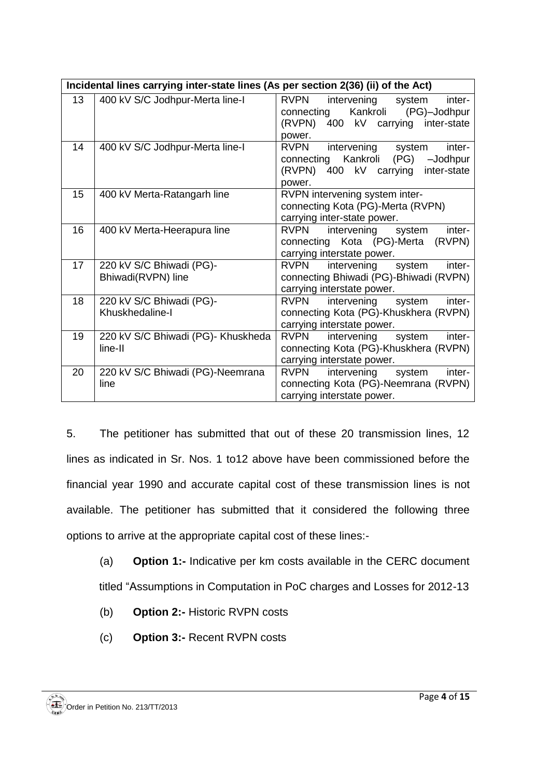|    | Incidental lines carrying inter-state lines (As per section 2(36) (ii) of the Act) |                                                                                                                                     |  |  |  |
|----|------------------------------------------------------------------------------------|-------------------------------------------------------------------------------------------------------------------------------------|--|--|--|
| 13 | 400 kV S/C Jodhpur-Merta line-I                                                    | <b>RVPN</b><br>intervening system<br>inter-<br>Kankroli (PG)-Jodhpur<br>connecting<br>(RVPN) 400 kV carrying inter-state            |  |  |  |
|    |                                                                                    | power.                                                                                                                              |  |  |  |
| 14 | 400 kV S/C Jodhpur-Merta line-I                                                    | <b>RVPN</b><br>intervening system<br>inter-<br>connecting Kankroli (PG) -Jodhpur<br>(RVPN) 400 kV carrying<br>inter-state<br>power. |  |  |  |
| 15 | 400 kV Merta-Ratangarh line                                                        | RVPN intervening system inter-<br>connecting Kota (PG)-Merta (RVPN)<br>carrying inter-state power.                                  |  |  |  |
| 16 | 400 kV Merta-Heerapura line                                                        | intervening system<br>inter-<br><b>RVPN</b><br>connecting Kota (PG)-Merta (RVPN)<br>carrying interstate power.                      |  |  |  |
| 17 | 220 kV S/C Bhiwadi (PG)-<br>Bhiwadi(RVPN) line                                     | <b>RVPN</b><br>intervening system<br>inter-<br>connecting Bhiwadi (PG)-Bhiwadi (RVPN)<br>carrying interstate power.                 |  |  |  |
| 18 | 220 kV S/C Bhiwadi (PG)-<br>Khuskhedaline-I                                        | <b>RVPN</b><br>intervening system<br>inter-<br>connecting Kota (PG)-Khuskhera (RVPN)<br>carrying interstate power.                  |  |  |  |
| 19 | 220 kV S/C Bhiwadi (PG)- Khuskheda<br>line-II                                      | RVPN intervening system<br>inter-<br>connecting Kota (PG)-Khuskhera (RVPN)<br>carrying interstate power.                            |  |  |  |
| 20 | 220 kV S/C Bhiwadi (PG)-Neemrana<br>line                                           | intervening<br>inter-<br>RVPN<br>system<br>connecting Kota (PG)-Neemrana (RVPN)<br>carrying interstate power.                       |  |  |  |

5. The petitioner has submitted that out of these 20 transmission lines, 12 lines as indicated in Sr. Nos. 1 to12 above have been commissioned before the financial year 1990 and accurate capital cost of these transmission lines is not available. The petitioner has submitted that it considered the following three options to arrive at the appropriate capital cost of these lines:-

- (a) **Option 1:-** Indicative per km costs available in the CERC document titled "Assumptions in Computation in PoC charges and Losses for 2012-13
- (b) **Option 2:-** Historic RVPN costs
- (c) **Option 3:-** Recent RVPN costs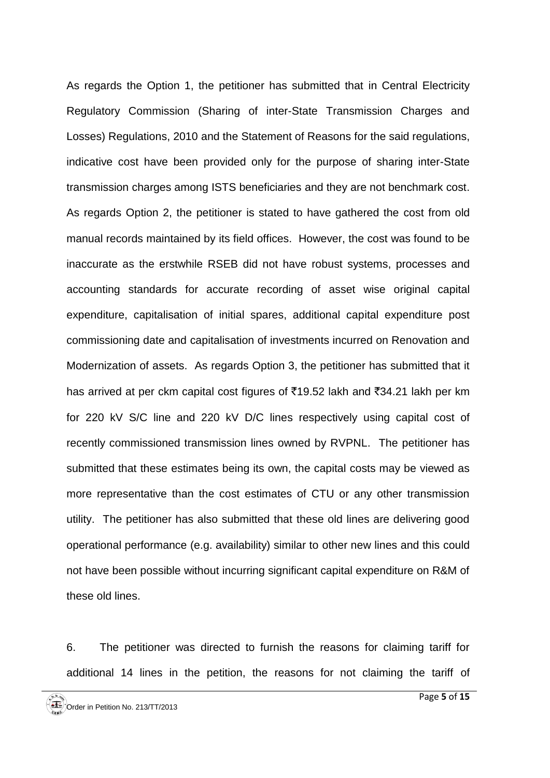As regards the Option 1, the petitioner has submitted that in Central Electricity Regulatory Commission (Sharing of inter-State Transmission Charges and Losses) Regulations, 2010 and the Statement of Reasons for the said regulations, indicative cost have been provided only for the purpose of sharing inter-State transmission charges among ISTS beneficiaries and they are not benchmark cost. As regards Option 2, the petitioner is stated to have gathered the cost from old manual records maintained by its field offices. However, the cost was found to be inaccurate as the erstwhile RSEB did not have robust systems, processes and accounting standards for accurate recording of asset wise original capital expenditure, capitalisation of initial spares, additional capital expenditure post commissioning date and capitalisation of investments incurred on Renovation and Modernization of assets. As regards Option 3, the petitioner has submitted that it has arrived at per ckm capital cost figures of  $\overline{5}19.52$  lakh and  $\overline{5}34.21$  lakh per km for 220 kV S/C line and 220 kV D/C lines respectively using capital cost of recently commissioned transmission lines owned by RVPNL. The petitioner has submitted that these estimates being its own, the capital costs may be viewed as more representative than the cost estimates of CTU or any other transmission utility. The petitioner has also submitted that these old lines are delivering good operational performance (e.g. availability) similar to other new lines and this could not have been possible without incurring significant capital expenditure on R&M of these old lines.

6. The petitioner was directed to furnish the reasons for claiming tariff for additional 14 lines in the petition, the reasons for not claiming the tariff of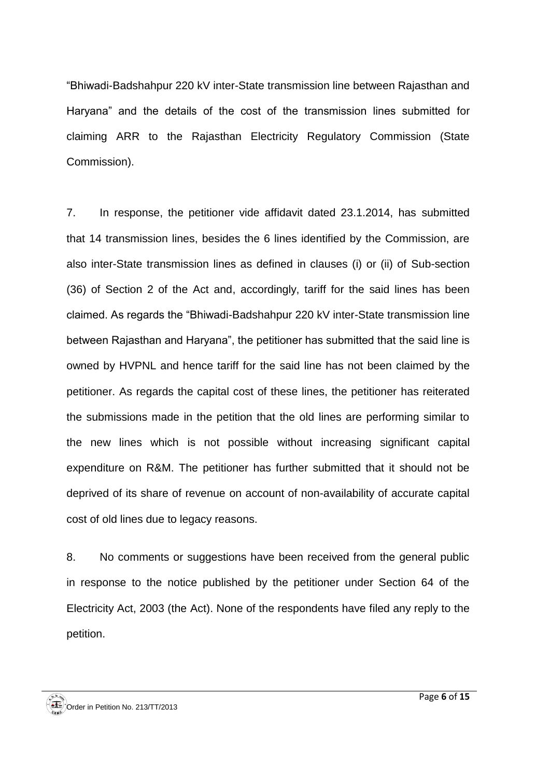"Bhiwadi-Badshahpur 220 kV inter-State transmission line between Rajasthan and Haryana" and the details of the cost of the transmission lines submitted for claiming ARR to the Rajasthan Electricity Regulatory Commission (State Commission).

7. In response, the petitioner vide affidavit dated 23.1.2014, has submitted that 14 transmission lines, besides the 6 lines identified by the Commission, are also inter-State transmission lines as defined in clauses (i) or (ii) of Sub-section (36) of Section 2 of the Act and, accordingly, tariff for the said lines has been claimed. As regards the "Bhiwadi-Badshahpur 220 kV inter-State transmission line between Rajasthan and Haryana", the petitioner has submitted that the said line is owned by HVPNL and hence tariff for the said line has not been claimed by the petitioner. As regards the capital cost of these lines, the petitioner has reiterated the submissions made in the petition that the old lines are performing similar to the new lines which is not possible without increasing significant capital expenditure on R&M. The petitioner has further submitted that it should not be deprived of its share of revenue on account of non-availability of accurate capital cost of old lines due to legacy reasons.

8. No comments or suggestions have been received from the general public in response to the notice published by the petitioner under Section 64 of the Electricity Act, 2003 (the Act). None of the respondents have filed any reply to the petition.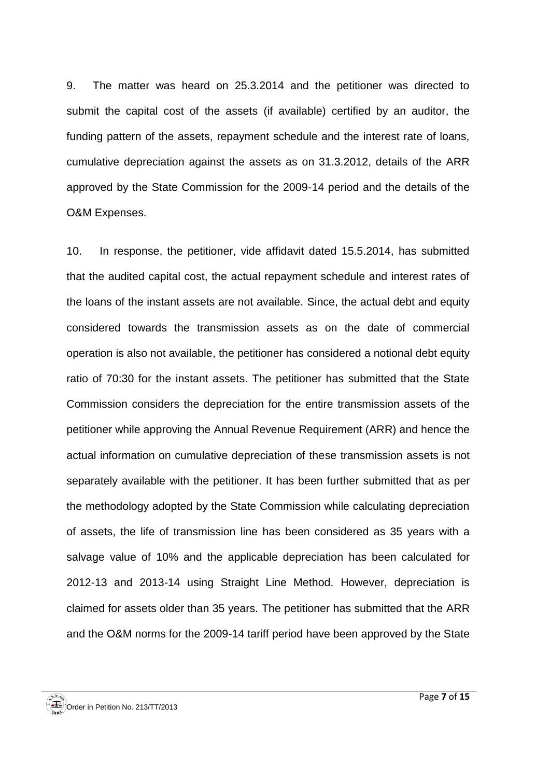9. The matter was heard on 25.3.2014 and the petitioner was directed to submit the capital cost of the assets (if available) certified by an auditor, the funding pattern of the assets, repayment schedule and the interest rate of loans, cumulative depreciation against the assets as on 31.3.2012, details of the ARR approved by the State Commission for the 2009-14 period and the details of the O&M Expenses.

10. In response, the petitioner, vide affidavit dated 15.5.2014, has submitted that the audited capital cost, the actual repayment schedule and interest rates of the loans of the instant assets are not available. Since, the actual debt and equity considered towards the transmission assets as on the date of commercial operation is also not available, the petitioner has considered a notional debt equity ratio of 70:30 for the instant assets. The petitioner has submitted that the State Commission considers the depreciation for the entire transmission assets of the petitioner while approving the Annual Revenue Requirement (ARR) and hence the actual information on cumulative depreciation of these transmission assets is not separately available with the petitioner. It has been further submitted that as per the methodology adopted by the State Commission while calculating depreciation of assets, the life of transmission line has been considered as 35 years with a salvage value of 10% and the applicable depreciation has been calculated for 2012-13 and 2013-14 using Straight Line Method. However, depreciation is claimed for assets older than 35 years. The petitioner has submitted that the ARR and the O&M norms for the 2009-14 tariff period have been approved by the State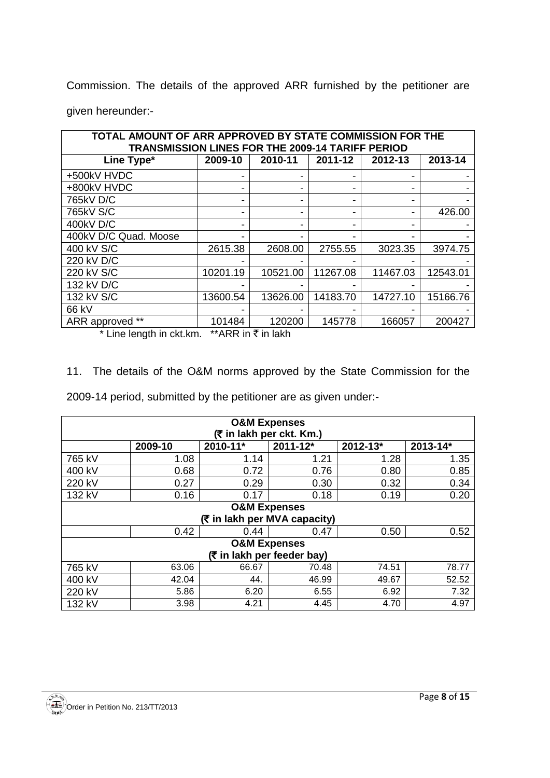Commission. The details of the approved ARR furnished by the petitioner are given hereunder:-

| TOTAL AMOUNT OF ARR APPROVED BY STATE COMMISSION FOR THE<br><b>TRANSMISSION LINES FOR THE 2009-14 TARIFF PERIOD</b> |          |          |          |          |          |  |  |
|---------------------------------------------------------------------------------------------------------------------|----------|----------|----------|----------|----------|--|--|
| Line Type*                                                                                                          | 2009-10  | 2010-11  | 2011-12  | 2012-13  | 2013-14  |  |  |
| +500kV HVDC                                                                                                         |          |          |          |          |          |  |  |
| +800kV HVDC                                                                                                         |          | -        |          |          |          |  |  |
| 765kV D/C                                                                                                           |          |          |          |          |          |  |  |
| 765kV S/C                                                                                                           |          |          |          |          | 426.00   |  |  |
| 400kV D/C                                                                                                           |          |          |          |          |          |  |  |
| 400kV D/C Quad. Moose                                                                                               |          |          |          |          |          |  |  |
| 400 kV S/C                                                                                                          | 2615.38  | 2608.00  | 2755.55  | 3023.35  | 3974.75  |  |  |
| 220 kV D/C                                                                                                          |          |          |          |          |          |  |  |
| 220 kV S/C                                                                                                          | 10201.19 | 10521.00 | 11267.08 | 11467.03 | 12543.01 |  |  |
| 132 kV D/C                                                                                                          |          |          |          |          |          |  |  |
| 132 kV S/C                                                                                                          | 13600.54 | 13626.00 | 14183.70 | 14727.10 | 15166.76 |  |  |
| 66 kV                                                                                                               |          |          |          |          |          |  |  |
| ARR approved **                                                                                                     | 101484   | 120200   | 145778   | 166057   | 200427   |  |  |

\* Line length in ckt.km. \*\* ARR in  $\bar{z}$  in lakh

11. The details of the O&M norms approved by the State Commission for the

2009-14 period, submitted by the petitioner are as given under:-

| <b>O&amp;M Expenses</b>    |         |                              |                          |          |          |
|----------------------------|---------|------------------------------|--------------------------|----------|----------|
|                            |         |                              | (₹ in lakh per ckt. Km.) |          |          |
|                            | 2009-10 | 2010-11*                     | $2011 - 12*$             | 2012-13* | 2013-14* |
| 765 kV                     | 1.08    | 1.14                         | 1.21                     | 1.28     | 1.35     |
| 400 kV                     | 0.68    | 0.72                         | 0.76                     | 0.80     | 0.85     |
| 220 kV                     | 0.27    | 0.29                         | 0.30                     | 0.32     | 0.34     |
| 132 kV                     | 0.16    | 0.17                         | 0.18                     | 0.19     | 0.20     |
|                            |         | <b>O&amp;M Expenses</b>      |                          |          |          |
|                            |         | (₹ in lakh per MVA capacity) |                          |          |          |
|                            | 0.42    | 0.44                         | 0.47                     | 0.50     | 0.52     |
|                            |         | <b>O&amp;M Expenses</b>      |                          |          |          |
| (₹ in lakh per feeder bay) |         |                              |                          |          |          |
| 765 kV                     | 63.06   | 66.67                        | 70.48                    | 74.51    | 78.77    |
| 400 kV                     | 42.04   | 44.                          | 46.99                    | 49.67    | 52.52    |
| 220 kV                     | 5.86    | 6.20                         | 6.55                     | 6.92     | 7.32     |
| 132 kV                     | 3.98    | 4.21                         | 4.45                     | 4.70     | 4.97     |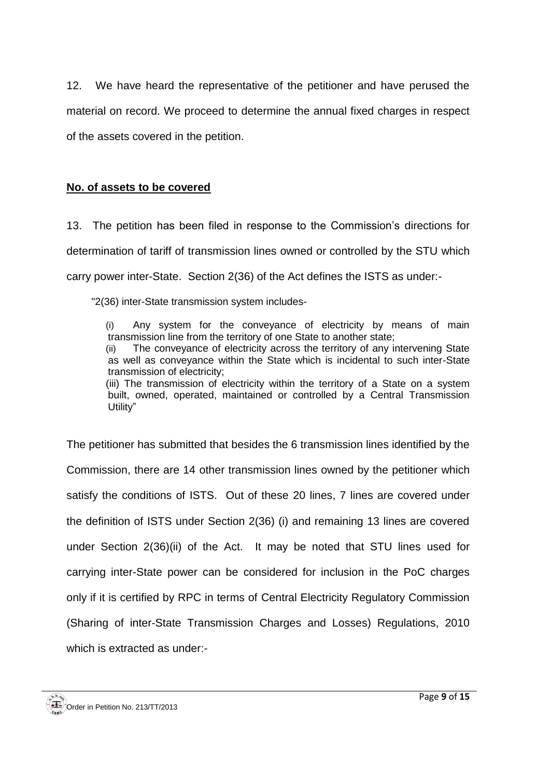12. We have heard the representative of the petitioner and have perused the material on record. We proceed to determine the annual fixed charges in respect of the assets covered in the petition.

#### **No. of assets to be covered**

13. The petition has been filed in response to the Commission's directions for determination of tariff of transmission lines owned or controlled by the STU which carry power inter-State. Section 2(36) of the Act defines the ISTS as under:-

"2(36) inter-State transmission system includes-

(i) Any system for the conveyance of electricity by means of main transmission line from the territory of one State to another state;

(ii) The conveyance of electricity across the territory of any intervening State as well as conveyance within the State which is incidental to such inter-State transmission of electricity;

(iii) The transmission of electricity within the territory of a State on a system built, owned, operated, maintained or controlled by a Central Transmission Utility"

The petitioner has submitted that besides the 6 transmission lines identified by the Commission, there are 14 other transmission lines owned by the petitioner which satisfy the conditions of ISTS. Out of these 20 lines, 7 lines are covered under the definition of ISTS under Section 2(36) (i) and remaining 13 lines are covered under Section 2(36)(ii) of the Act. It may be noted that STU lines used for carrying inter-State power can be considered for inclusion in the PoC charges only if it is certified by RPC in terms of Central Electricity Regulatory Commission (Sharing of inter-State Transmission Charges and Losses) Regulations, 2010 which is extracted as under:-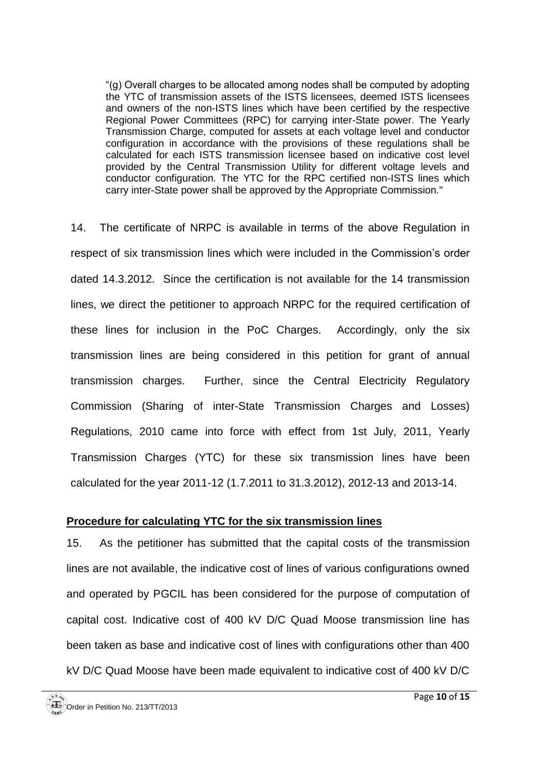"(g) Overall charges to be allocated among nodes shall be computed by adopting the YTC of transmission assets of the ISTS licensees, deemed ISTS licensees and owners of the non-ISTS lines which have been certified by the respective Regional Power Committees (RPC) for carrying inter-State power. The Yearly Transmission Charge, computed for assets at each voltage level and conductor configuration in accordance with the provisions of these regulations shall be calculated for each ISTS transmission licensee based on indicative cost level provided by the Central Transmission Utility for different voltage levels and conductor configuration. The YTC for the RPC certified non-ISTS lines which carry inter-State power shall be approved by the Appropriate Commission."

14. The certificate of NRPC is available in terms of the above Regulation in respect of six transmission lines which were included in the Commission's order dated 14.3.2012. Since the certification is not available for the 14 transmission lines, we direct the petitioner to approach NRPC for the required certification of these lines for inclusion in the PoC Charges. Accordingly, only the six transmission lines are being considered in this petition for grant of annual transmission charges. Further, since the Central Electricity Regulatory Commission (Sharing of inter-State Transmission Charges and Losses) Regulations, 2010 came into force with effect from 1st July, 2011, Yearly Transmission Charges (YTC) for these six transmission lines have been calculated for the year 2011-12 (1.7.2011 to 31.3.2012), 2012-13 and 2013-14.

#### **Procedure for calculating YTC for the six transmission lines**

15. As the petitioner has submitted that the capital costs of the transmission lines are not available, the indicative cost of lines of various configurations owned and operated by PGCIL has been considered for the purpose of computation of capital cost. Indicative cost of 400 kV D/C Quad Moose transmission line has been taken as base and indicative cost of lines with configurations other than 400 kV D/C Quad Moose have been made equivalent to indicative cost of 400 kV D/C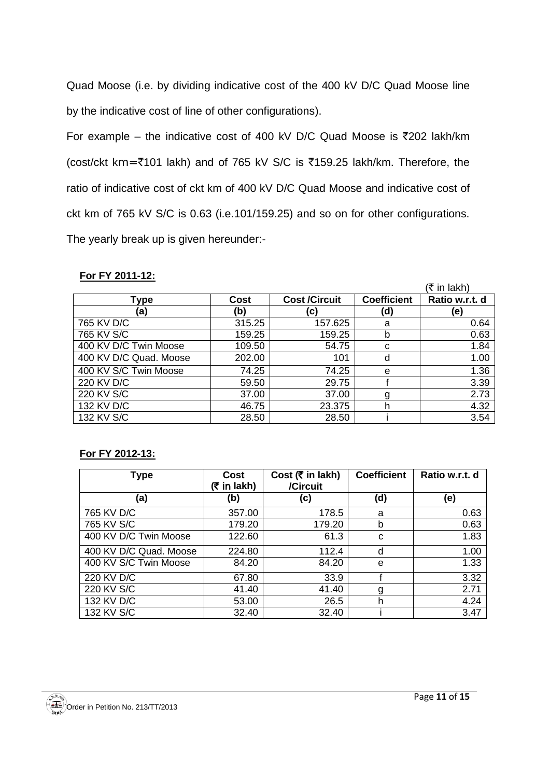Quad Moose (i.e. by dividing indicative cost of the 400 kV D/C Quad Moose line by the indicative cost of line of other configurations).

For example – the indicative cost of 400 kV D/C Quad Moose is  $\overline{5}202$  lakh/km (cost/ckt km=`101 lakh) and of 765 kV S/C is `159.25 lakh/km. Therefore, the ratio of indicative cost of ckt km of 400 kV D/C Quad Moose and indicative cost of ckt km of 765 kV S/C is 0.63 (i.e.101/159.25) and so on for other configurations. The yearly break up is given hereunder:-

#### **For FY 2011-12:**

|                        |        |                      |                    | (₹ in lakh)    |
|------------------------|--------|----------------------|--------------------|----------------|
| Type                   | Cost   | <b>Cost /Circuit</b> | <b>Coefficient</b> | Ratio w.r.t. d |
| (a)                    | (b)    | (c)                  | (d)                | (e)            |
| 765 KV D/C             | 315.25 | 157.625              | a                  | 0.64           |
| 765 KV S/C             | 159.25 | 159.25               | b                  | 0.63           |
| 400 KV D/C Twin Moose  | 109.50 | 54.75                | C                  | 1.84           |
| 400 KV D/C Quad. Moose | 202.00 | 101                  | d                  | 1.00           |
| 400 KV S/C Twin Moose  | 74.25  | 74.25                | e                  | 1.36           |
| 220 KV D/C             | 59.50  | 29.75                |                    | 3.39           |
| 220 KV S/C             | 37.00  | 37.00                |                    | 2.73           |
| 132 KV D/C             | 46.75  | 23.375               | h                  | 4.32           |
| 132 KV S/C             | 28.50  | 28.50                |                    | 3.54           |

#### **For FY 2012-13:**

| Type                   | Cost<br>$(5 \in \mathsf{In} \, \mathsf{l}_k)$ | Cost $(\bar{\bar{\mathbf{x}}}$ in lakh)<br>/Circuit | <b>Coefficient</b> | Ratio w.r.t. d |
|------------------------|-----------------------------------------------|-----------------------------------------------------|--------------------|----------------|
| (a)                    | (b)                                           | (c)                                                 | (d)                | (e)            |
| 765 KV D/C             | 357.00                                        | 178.5                                               | a                  | 0.63           |
| 765 KV S/C             | 179.20                                        | 179.20                                              | b                  | 0.63           |
| 400 KV D/C Twin Moose  | 122.60                                        | 61.3                                                | C                  | 1.83           |
| 400 KV D/C Quad. Moose | 224.80                                        | 112.4                                               | d                  | 1.00           |
| 400 KV S/C Twin Moose  | 84.20                                         | 84.20                                               | e                  | 1.33           |
| 220 KV D/C             | 67.80                                         | 33.9                                                |                    | 3.32           |
| 220 KV S/C             | 41.40                                         | 41.40                                               | g                  | 2.71           |
| 132 KV D/C             | 53.00                                         | 26.5                                                | h                  | 4.24           |
| 132 KV S/C             | 32.40                                         | 32.40                                               |                    | 3.47           |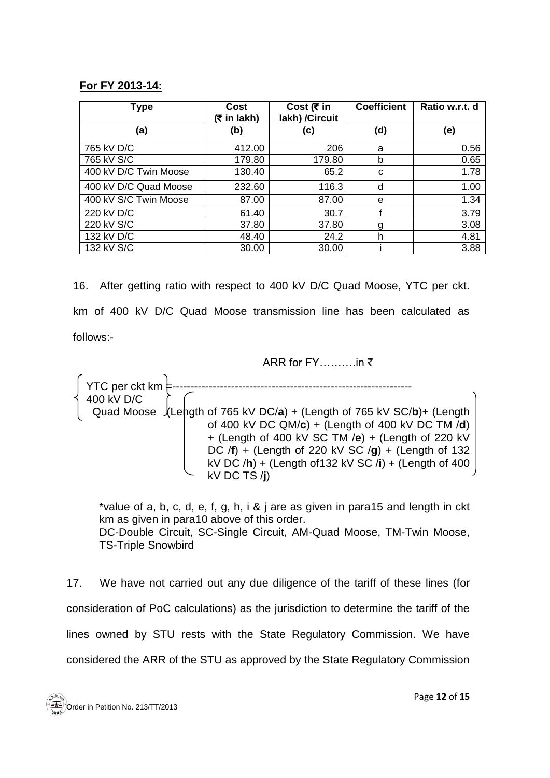#### **For FY 2013-14:**

| <b>Type</b>           | Cost<br>$(5 \in \mathsf{In} \, \mathsf{l}_1)$ | Cost ( $\bar{\tau}$ in<br>lakh) / Circuit | <b>Coefficient</b> | Ratio w.r.t. d |
|-----------------------|-----------------------------------------------|-------------------------------------------|--------------------|----------------|
| (a)                   | (b)                                           | (c)                                       | (d)                | (e)            |
| 765 kV D/C            | 412.00                                        | 206                                       | a                  | 0.56           |
| 765 kV S/C            | 179.80                                        | 179.80                                    | b                  | 0.65           |
| 400 kV D/C Twin Moose | 130.40                                        | 65.2                                      | C                  | 1.78           |
| 400 kV D/C Quad Moose | 232.60                                        | 116.3                                     | d                  | 1.00           |
| 400 kV S/C Twin Moose | 87.00                                         | 87.00                                     | e                  | 1.34           |
| 220 kV D/C            | 61.40                                         | 30.7                                      |                    | 3.79           |
| 220 kV S/C            | 37.80                                         | 37.80                                     | g                  | 3.08           |
| 132 kV D/C            | 48.40                                         | 24.2                                      | h                  | 4.81           |
| 132 kV S/C            | 30.00                                         | 30.00                                     |                    | 3.88           |

16. After getting ratio with respect to 400 kV D/C Quad Moose, YTC per ckt. km of 400 kV D/C Quad Moose transmission line has been calculated as follows:-

# ARR for FY……….in `

YTC per ckt km 400 kV D/C Quad Moose  $\sqrt{\text{Leh}}$ gth of 765 kV DC/a) + (Length of 765 kV SC/b)+ (Length of 400 kV DC QM/**c**) + (Length of 400 kV DC TM /**d**) + (Length of 400 kV SC TM /**e**) + (Length of 220 kV DC /**f**) + (Length of 220 kV SC /**g**) + (Length of 132 kV DC /**h**) + (Length of132 kV SC /**i**) + (Length of 400 kV DC TS /**j**)

\*value of a, b, c, d, e, f, g, h, i & j are as given in para15 and length in ckt km as given in para10 above of this order. DC-Double Circuit, SC-Single Circuit, AM-Quad Moose, TM-Twin Moose, TS-Triple Snowbird

17. We have not carried out any due diligence of the tariff of these lines (for consideration of PoC calculations) as the jurisdiction to determine the tariff of the lines owned by STU rests with the State Regulatory Commission. We have considered the ARR of the STU as approved by the State Regulatory Commission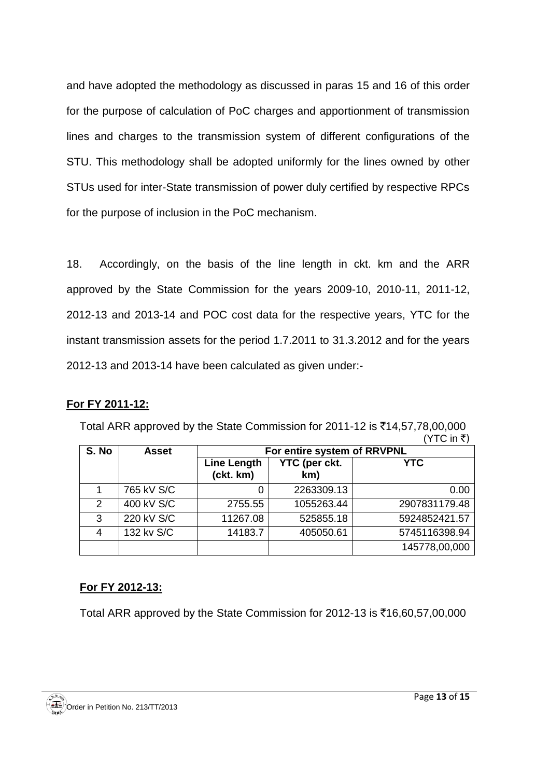and have adopted the methodology as discussed in paras 15 and 16 of this order for the purpose of calculation of PoC charges and apportionment of transmission lines and charges to the transmission system of different configurations of the STU. This methodology shall be adopted uniformly for the lines owned by other STUs used for inter-State transmission of power duly certified by respective RPCs for the purpose of inclusion in the PoC mechanism.

18. Accordingly, on the basis of the line length in ckt. km and the ARR approved by the State Commission for the years 2009-10, 2010-11, 2011-12, 2012-13 and 2013-14 and POC cost data for the respective years, YTC for the instant transmission assets for the period 1.7.2011 to 31.3.2012 and for the years 2012-13 and 2013-14 have been calculated as given under:-

### **For FY 2011-12:**

|               |              |                                 |                             | (YTC in ₹)    |
|---------------|--------------|---------------------------------|-----------------------------|---------------|
| S. No         | <b>Asset</b> |                                 | For entire system of RRVPNL |               |
|               |              | <b>Line Length</b><br>(ckt. km) | YTC (per ckt.<br>km)        | <b>YTC</b>    |
|               | 765 kV S/C   | 0                               | 2263309.13                  | 0.00          |
| $\mathcal{P}$ | 400 kV S/C   | 2755.55                         | 1055263.44                  | 2907831179.48 |
| 3             | 220 kV S/C   | 11267.08                        | 525855.18                   | 5924852421.57 |
| 4             | 132 kv S/C   | 14183.7                         | 405050.61                   | 5745116398.94 |
|               |              |                                 |                             | 145778,00,000 |

Total ARR approved by the State Commission for 2011-12 is ₹14,57,78,00,000

# **For FY 2012-13:**

Total ARR approved by the State Commission for 2012-13 is  $\bar{\tau}$ 16,60,57,00,000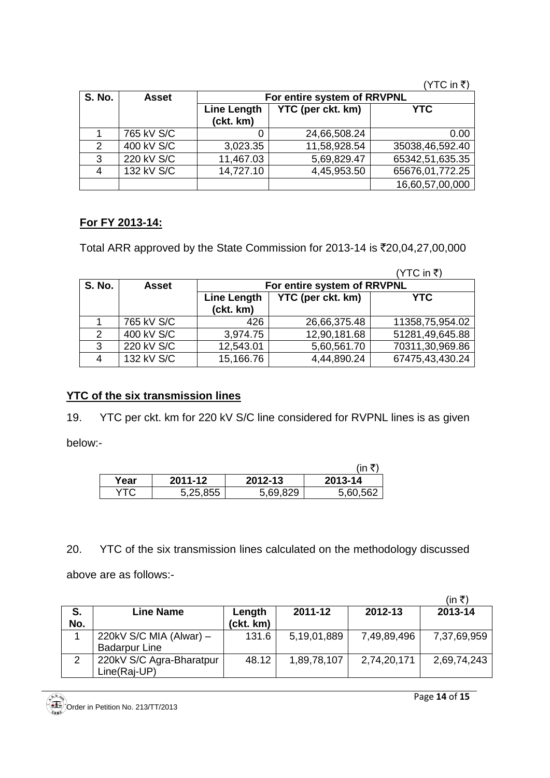( $YTC$  in ₹)

| <b>S. No.</b> | <b>Asset</b> | For entire system of RRVPNL     |                   |                 |  |  |
|---------------|--------------|---------------------------------|-------------------|-----------------|--|--|
|               |              | <b>Line Length</b><br>(ckt. km) | YTC (per ckt. km) | <b>YTC</b>      |  |  |
|               | 765 kV S/C   |                                 | 24,66,508.24      | 0.00            |  |  |
| $\mathcal{P}$ | 400 kV S/C   | 3,023.35                        | 11,58,928.54      | 35038,46,592.40 |  |  |
| 3             | 220 kV S/C   | 11,467.03                       | 5,69,829.47       | 65342,51,635.35 |  |  |
|               | 132 kV S/C   | 14,727.10                       | 4,45,953.50       | 65676,01,772.25 |  |  |
|               |              |                                 |                   | 16,60,57,00,000 |  |  |

## **For FY 2013-14:**

Total ARR approved by the State Commission for 2013-14 is ₹20,04,27,00,000

|               |            |                          |                             | (YTC in ₹)      |
|---------------|------------|--------------------------|-----------------------------|-----------------|
| <b>S. No.</b> | Asset      |                          | For entire system of RRVPNL |                 |
|               |            | Line Length<br>(ckt. km) | <b>YTC (per ckt. km)</b>    | <b>YTC</b>      |
|               | 765 kV S/C | 426                      | 26,66,375.48                | 11358,75,954.02 |
| 2             | 400 kV S/C | 3,974.75                 | 12,90,181.68                | 51281,49,645.88 |
| 3             | 220 kV S/C | 12,543.01                | 5,60,561.70                 | 70311,30,969.86 |
| 4             | 132 kV S/C | 15,166.76                | 4,44,890.24                 | 67475,43,430.24 |

# **YTC of the six transmission lines**

19. YTC per ckt. km for 220 kV S/C line considered for RVPNL lines is as given

below:-

|      |          |          | ïn       |
|------|----------|----------|----------|
| Year | 2011-12  | 2012-13  | 2013-14  |
| YTC  | 5,25,855 | 5,69,829 | 5,60,562 |

20. YTC of the six transmission lines calculated on the methodology discussed

above are as follows:-

|               |                          |           |             |             | (in ₹)      |
|---------------|--------------------------|-----------|-------------|-------------|-------------|
| S.            | <b>Line Name</b>         | Length    | 2011-12     | 2012-13     | 2013-14     |
| No.           |                          | (ckt. km) |             |             |             |
|               | 220kV S/C MIA (Alwar) -  | 131.6     | 5,19,01,889 | 7,49,89,496 | 7,37,69,959 |
|               | <b>Badarpur Line</b>     |           |             |             |             |
| $\mathcal{P}$ | 220kV S/C Agra-Bharatpur | 48.12     | 1,89,78,107 | 2,74,20,171 | 2,69,74,243 |
|               | Line(Raj-UP)             |           |             |             |             |